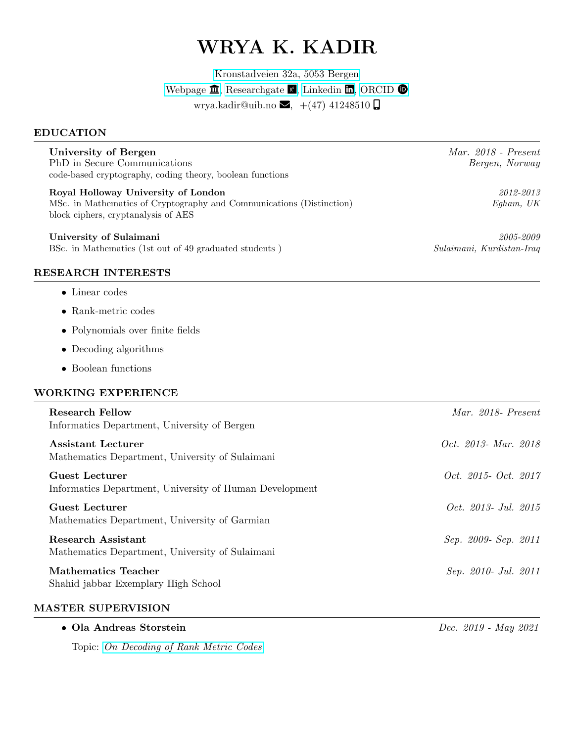# WRYA K. KADIR

[Kronstadveien 32a, 5053 Bergen](https://goo.gl/maps/pXSsf1YXu2TVrmLg9)

[Webpage](https://www.uib.no/en/persons/Wrya.Karim.Kadir.Kadir)  $\hat{m}$ , [Researchgate](https://www.researchgate.net/profile/Wrya-Kadir-2)  $\hat{\mathbf{k}}$ , [Linkedin](https://www.linkedin.com/in/wrya-k-kadir-3ab18016a/)  $\hat{\mathbf{m}}$ , [ORCID](https://orcid.org/my-orcid?orcid=0000-0002-3981-7195)  $\hat{\mathbf{\Theta}}$ 

wrya.kadir@uib.no  $\blacktriangleright$ , +(47) 41248510  $\Box$ 

#### EDUCATION

| University of Bergen                                      |
|-----------------------------------------------------------|
| PhD in Secure Communications                              |
| code-based cryptography, coding theory, boolean functions |

Royal Holloway University of London 2012-2013 MSc. in Mathematics of Cryptography and Communications (Distinction) Egham, UK block ciphers, cryptanalysis of AES

#### University of Sulaimani 2005-2009

BSc. in Mathematics (1st out of 49 graduated students ) Sulaimani, Kurdistan-Iraq

## RESEARCH INTERESTS

- Linear codes
- Rank-metric codes
- Polynomials over finite fields
- Decoding algorithms
- Boolean functions

## WORKING EXPERIENCE

| <b>Research Fellow</b><br>Informatics Department, University of Bergen       | Mar. 2018- Present          |
|------------------------------------------------------------------------------|-----------------------------|
| Assistant Lecturer<br>Mathematics Department, University of Sulaimani        | <i>Oct.</i> 2013- Mar. 2018 |
| Guest Lecturer<br>Informatics Department, University of Human Development    | Oct. 2015- Oct. 2017        |
| <b>Guest Lecturer</b><br>Mathematics Department, University of Garmian       | <i>Oct. 2013- Jul. 2015</i> |
| <b>Research Assistant</b><br>Mathematics Department, University of Sulaimani | Sep. 2009- Sep. 2011        |
| Mathematics Teacher<br>Shahid jabbar Exemplary High School                   | Sep. 2010- Jul. 2011        |

## MASTER SUPERVISION

• Ola Andreas Storstein Dec. 2019 - May 2021

Topic: [On Decoding of Rank Metric Codes](https://people.uib.no/chunlei.li/pubs/Master_OlaAndreas_Storstein.pdf)

Mar. 2018 - Present Bergen, Norway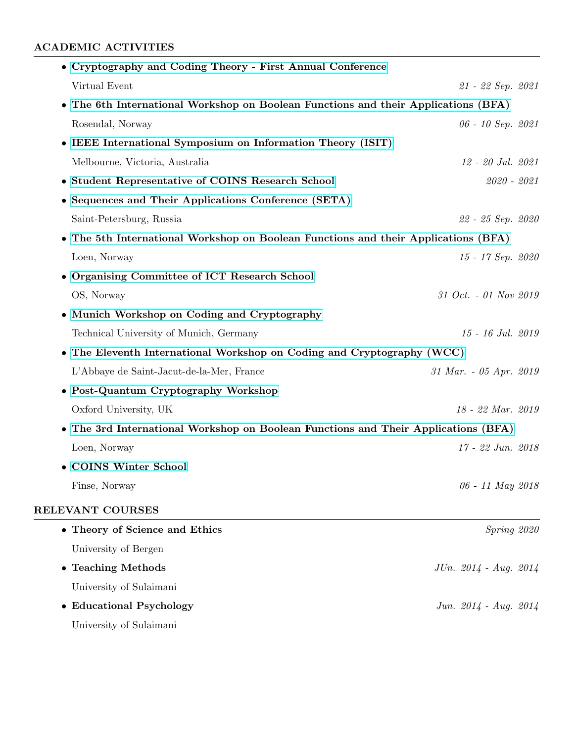## ACADEMIC ACTIVITIES

| • Cryptography and Coding Theory - First Annual Conference                         |                        |
|------------------------------------------------------------------------------------|------------------------|
| Virtual Event                                                                      | 21 - 22 Sep. 2021      |
| • The 6th International Workshop on Boolean Functions and their Applications (BFA) |                        |
| Rosendal, Norway                                                                   | 06 - 10 Sep. 2021      |
| • IEEE International Symposium on Information Theory (ISIT)                        |                        |
| Melbourne, Victoria, Australia                                                     | 12 - 20 Jul. 2021      |
| • Student Representative of COINS Research School                                  | $2020 - 2021$          |
| • Sequences and Their Applications Conference (SETA)                               |                        |
| Saint-Petersburg, Russia                                                           | 22 - 25 Sep. 2020      |
| • The 5th International Workshop on Boolean Functions and their Applications (BFA) |                        |
| Loen, Norway                                                                       | $15 - 17$ Sep. 2020    |
| • Organising Committee of ICT Research School                                      |                        |
| OS, Norway                                                                         | 31 Oct. - 01 Nov 2019  |
| • Munich Workshop on Coding and Cryptography                                       |                        |
| Technical University of Munich, Germany                                            | 15 - 16 Jul. 2019      |
| • The Eleventh International Workshop on Coding and Cryptography (WCC)             |                        |
| L'Abbaye de Saint-Jacut-de-la-Mer, France                                          | 31 Mar. - 05 Apr. 2019 |
| • Post-Quantum Cryptography Workshop                                               |                        |
| Oxford University, UK                                                              | 18 - 22 Mar. 2019      |
| • The 3rd International Workshop on Boolean Functions and Their Applications (BFA) |                        |
| Loen, Norway                                                                       | $17 - 22$ Jun. $2018$  |
| • COINS Winter School                                                              |                        |
| Finse, Norway                                                                      | 06 - 11 May 2018       |
| RELEVANT COURSES                                                                   |                        |
| • Theory of Science and Ethics                                                     | Spring 2020            |
| University of Bergen                                                               |                        |
| • Teaching Methods                                                                 | JUn. 2014 - Aug. 2014  |
| University of Sulaimani                                                            |                        |
| <b>Educational Psychology</b><br>$\bullet$                                         | Jun. 2014 - Aug. 2014  |
| University of Sulaimani                                                            |                        |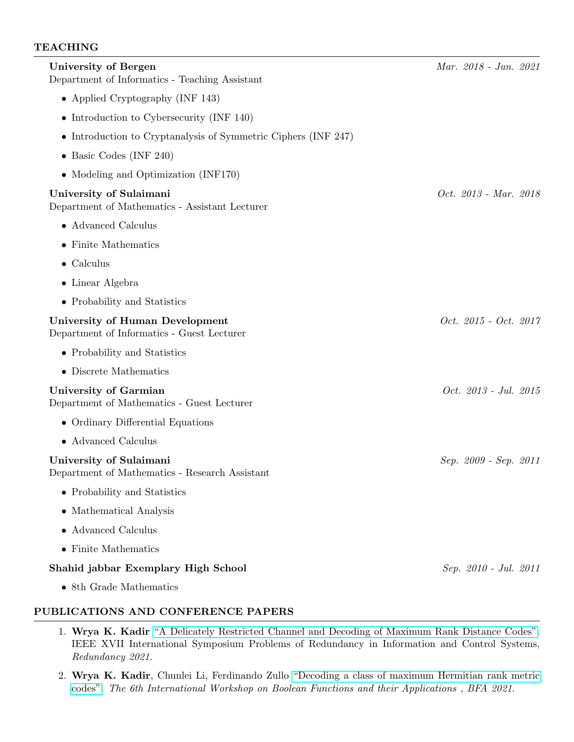## **TEACHING**

| University of Bergen<br>Department of Informatics - Teaching Assistant        | Mar. 2018 - Jun. 2021 |
|-------------------------------------------------------------------------------|-----------------------|
| • Applied Cryptography (INF 143)                                              |                       |
| • Introduction to Cybersecurity (INF $140$ )                                  |                       |
| • Introduction to Cryptanalysis of Symmetric Ciphers (INF 247)                |                       |
| • Basic Codes (INF 240)                                                       |                       |
| • Modeling and Optimization (INF170)                                          |                       |
| University of Sulaimani<br>Department of Mathematics - Assistant Lecturer     | Oct. 2013 - Mar. 2018 |
| • Advanced Calculus                                                           |                       |
| $\bullet$ Finite Mathematics                                                  |                       |
| $\bullet$ Calculus                                                            |                       |
| $\bullet$ Linear Algebra                                                      |                       |
| • Probability and Statistics                                                  |                       |
| University of Human Development<br>Department of Informatics - Guest Lecturer | Oct. 2015 - Oct. 2017 |
| • Probability and Statistics                                                  |                       |
| • Discrete Mathematics                                                        |                       |
| University of Garmian<br>Department of Mathematics - Guest Lecturer           | Oct. 2013 - Jul. 2015 |
| • Ordinary Differential Equations                                             |                       |
| • Advanced Calculus                                                           |                       |
| University of Sulaimani<br>Department of Mathematics - Research Assistant     | Sep. 2009 - Sep. 2011 |
| • Probability and Statistics                                                  |                       |
| • Mathematical Analysis                                                       |                       |
| $\bullet$ Advanced Calculus                                                   |                       |
| • Finite Mathematics                                                          |                       |
| Shahid jabbar Exemplary High School                                           | Sep. 2010 - Jul. 2011 |
| • 8th Grade Mathematics                                                       |                       |

#### PUBLICATIONS AND CONFERENCE PAPERS

- 1. Wrya K. Kadir ["A Delicately Restricted Channel and Decoding of Maximum Rank Distance Codes".](https://arxiv.org/abs/2109.02069) IEEE XVII International Symposium Problems of Redundancy in Information and Control Systems, Redundancy 2021.
- 2. Wrya K. Kadir, Chunlei Li, Ferdinando Zullo ["Decoding a class of maximum Hermitian rank metric](https://boolean.w.uib.no/files/2021/08/BFA_2021_abstract_19.pdf) [codes".](https://boolean.w.uib.no/files/2021/08/BFA_2021_abstract_19.pdf) The 6th International Workshop on Boolean Functions and their Applications , BFA 2021.